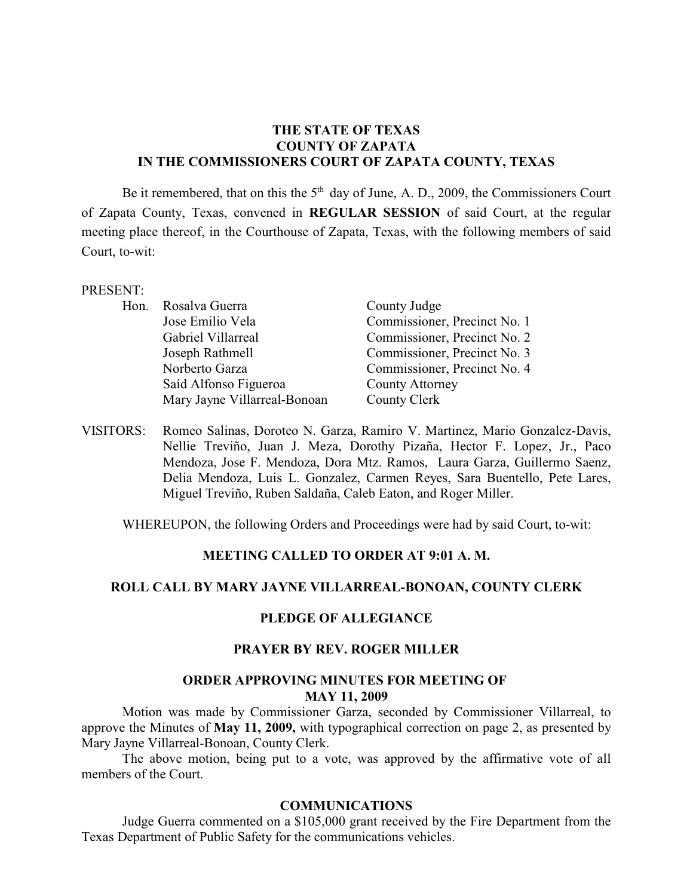## **THE STATE OF TEXAS COUNTY OF ZAPATA IN THE COMMISSIONERS COURT OF ZAPATA COUNTY, TEXAS**

Be it remembered, that on this the  $5<sup>th</sup>$  day of June, A. D., 2009, the Commissioners Court of Zapata County, Texas, convened in **REGULAR SESSION** of said Court, at the regular meeting place thereof, in the Courthouse of Zapata, Texas, with the following members of said Court, to-wit:

#### PRESENT:

| Hon. Rosalva Guerra          | County Judge                 |
|------------------------------|------------------------------|
| Jose Emilio Vela             | Commissioner, Precinct No. 1 |
| Gabriel Villarreal           | Commissioner, Precinct No. 2 |
| Joseph Rathmell              | Commissioner, Precinct No. 3 |
| Norberto Garza               | Commissioner, Precinct No. 4 |
| Saíd Alfonso Figueroa        | <b>County Attorney</b>       |
| Mary Jayne Villarreal-Bonoan | County Clerk                 |

VISITORS: Romeo Salinas, Doroteo N. Garza, Ramiro V. Martinez, Mario Gonzalez-Davis, Nellie Treviño, Juan J. Meza, Dorothy Pizaña, Hector F. Lopez, Jr., Paco Mendoza, Jose F. Mendoza, Dora Mtz. Ramos, Laura Garza, Guillermo Saenz, Delia Mendoza, Luis L. Gonzalez, Carmen Reyes, Sara Buentello, Pete Lares, Miguel Treviño, Ruben Saldaña, Caleb Eaton, and Roger Miller.

WHEREUPON, the following Orders and Proceedings were had by said Court, to-wit:

### **MEETING CALLED TO ORDER AT 9:01 A. M.**

### **ROLL CALL BY MARY JAYNE VILLARREAL-BONOAN, COUNTY CLERK**

#### **PLEDGE OF ALLEGIANCE**

#### **PRAYER BY REV. ROGER MILLER**

#### **ORDER APPROVING MINUTES FOR MEETING OF MAY 11, 2009**

Motion was made by Commissioner Garza, seconded by Commissioner Villarreal, to approve the Minutes of **May 11, 2009,** with typographical correction on page 2, as presented by Mary Jayne Villarreal-Bonoan, County Clerk.

The above motion, being put to a vote, was approved by the affirmative vote of all members of the Court.

#### **COMMUNICATIONS**

Judge Guerra commented on a \$105,000 grant received by the Fire Department from the Texas Department of Public Safety for the communications vehicles.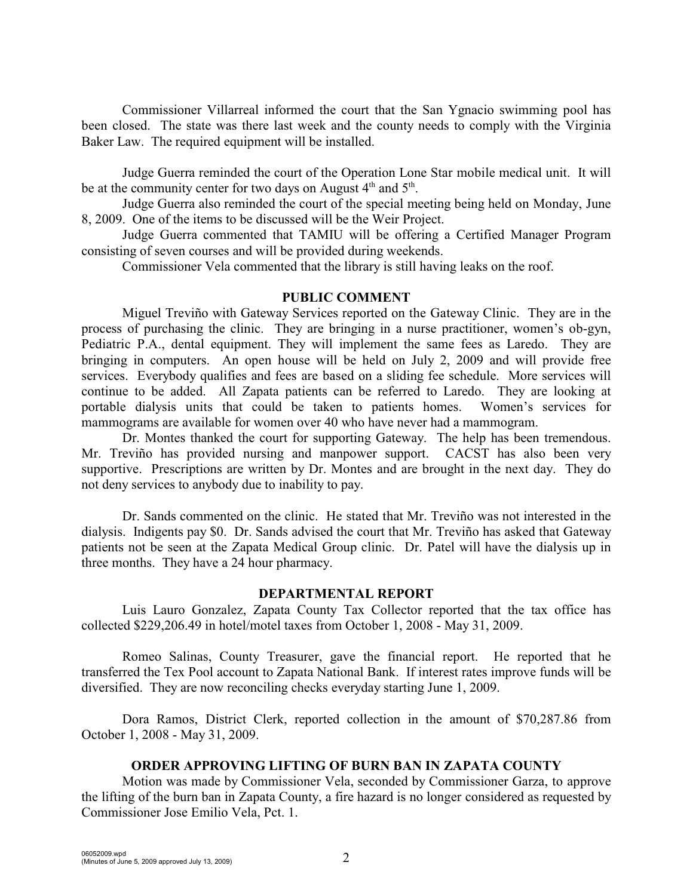Commissioner Villarreal informed the court that the San Ygnacio swimming pool has been closed. The state was there last week and the county needs to comply with the Virginia Baker Law. The required equipment will be installed.

Judge Guerra reminded the court of the Operation Lone Star mobile medical unit. It will be at the community center for two days on August  $4<sup>th</sup>$  and  $5<sup>th</sup>$ .

Judge Guerra also reminded the court of the special meeting being held on Monday, June 8, 2009. One of the items to be discussed will be the Weir Project.

Judge Guerra commented that TAMIU will be offering a Certified Manager Program consisting of seven courses and will be provided during weekends.

Commissioner Vela commented that the library is still having leaks on the roof.

#### **PUBLIC COMMENT**

Miguel Treviño with Gateway Services reported on the Gateway Clinic. They are in the process of purchasing the clinic. They are bringing in a nurse practitioner, women's ob-gyn, Pediatric P.A., dental equipment. They will implement the same fees as Laredo. They are bringing in computers. An open house will be held on July 2, 2009 and will provide free services. Everybody qualifies and fees are based on a sliding fee schedule. More services will continue to be added. All Zapata patients can be referred to Laredo. They are looking at portable dialysis units that could be taken to patients homes. Women's services for mammograms are available for women over 40 who have never had a mammogram.

Dr. Montes thanked the court for supporting Gateway. The help has been tremendous. Mr. Treviño has provided nursing and manpower support. CACST has also been very supportive. Prescriptions are written by Dr. Montes and are brought in the next day. They do not deny services to anybody due to inability to pay.

Dr. Sands commented on the clinic. He stated that Mr. Treviño was not interested in the dialysis. Indigents pay \$0. Dr. Sands advised the court that Mr. Treviño has asked that Gateway patients not be seen at the Zapata Medical Group clinic. Dr. Patel will have the dialysis up in three months. They have a 24 hour pharmacy.

#### **DEPARTMENTAL REPORT**

Luis Lauro Gonzalez, Zapata County Tax Collector reported that the tax office has collected \$229,206.49 in hotel/motel taxes from October 1, 2008 - May 31, 2009.

Romeo Salinas, County Treasurer, gave the financial report. He reported that he transferred the Tex Pool account to Zapata National Bank. If interest rates improve funds will be diversified. They are now reconciling checks everyday starting June 1, 2009.

Dora Ramos, District Clerk, reported collection in the amount of \$70,287.86 from October 1, 2008 - May 31, 2009.

### **ORDER APPROVING LIFTING OF BURN BAN IN ZAPATA COUNTY**

Motion was made by Commissioner Vela, seconded by Commissioner Garza, to approve the lifting of the burn ban in Zapata County, a fire hazard is no longer considered as requested by Commissioner Jose Emilio Vela, Pct. 1.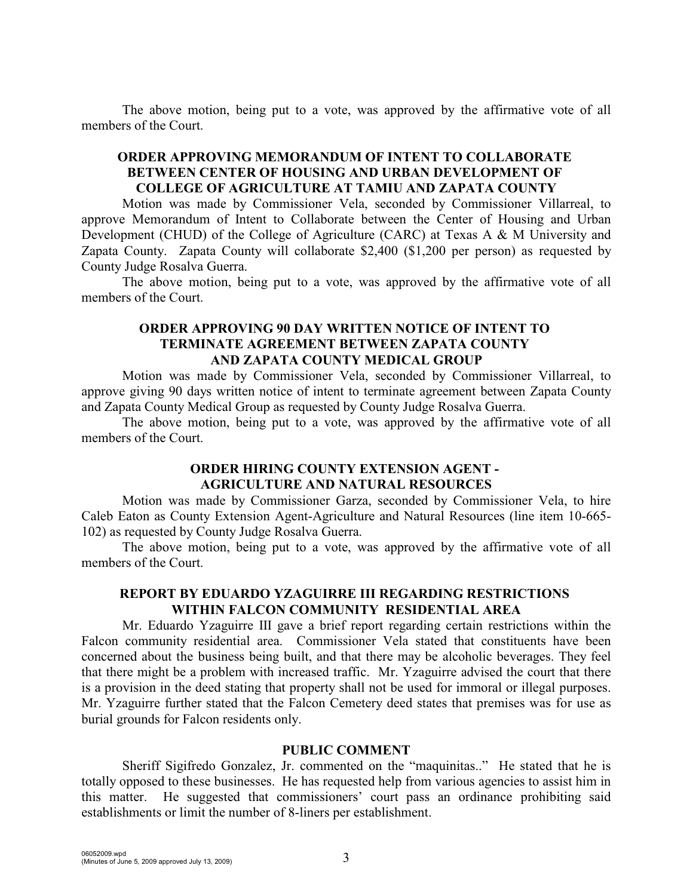The above motion, being put to a vote, was approved by the affirmative vote of all members of the Court.

# **ORDER APPROVING MEMORANDUM OF INTENT TO COLLABORATE BETWEEN CENTER OF HOUSING AND URBAN DEVELOPMENT OF COLLEGE OF AGRICULTURE AT TAMIU AND ZAPATA COUNTY**

Motion was made by Commissioner Vela, seconded by Commissioner Villarreal, to approve Memorandum of Intent to Collaborate between the Center of Housing and Urban Development (CHUD) of the College of Agriculture (CARC) at Texas A & M University and Zapata County. Zapata County will collaborate \$2,400 (\$1,200 per person) as requested by County Judge Rosalva Guerra.

The above motion, being put to a vote, was approved by the affirmative vote of all members of the Court.

#### **ORDER APPROVING 90 DAY WRITTEN NOTICE OF INTENT TO TERMINATE AGREEMENT BETWEEN ZAPATA COUNTY AND ZAPATA COUNTY MEDICAL GROUP**

Motion was made by Commissioner Vela, seconded by Commissioner Villarreal, to approve giving 90 days written notice of intent to terminate agreement between Zapata County and Zapata County Medical Group as requested by County Judge Rosalva Guerra.

The above motion, being put to a vote, was approved by the affirmative vote of all members of the Court.

# **ORDER HIRING COUNTY EXTENSION AGENT - AGRICULTURE AND NATURAL RESOURCES**

Motion was made by Commissioner Garza, seconded by Commissioner Vela, to hire Caleb Eaton as County Extension Agent-Agriculture and Natural Resources (line item 10-665- 102) as requested by County Judge Rosalva Guerra.

The above motion, being put to a vote, was approved by the affirmative vote of all members of the Court.

# **REPORT BY EDUARDO YZAGUIRRE III REGARDING RESTRICTIONS WITHIN FALCON COMMUNITY RESIDENTIAL AREA**

Mr. Eduardo Yzaguirre III gave a brief report regarding certain restrictions within the Falcon community residential area. Commissioner Vela stated that constituents have been concerned about the business being built, and that there may be alcoholic beverages. They feel that there might be a problem with increased traffic. Mr. Yzaguirre advised the court that there is a provision in the deed stating that property shall not be used for immoral or illegal purposes. Mr. Yzaguirre further stated that the Falcon Cemetery deed states that premises was for use as burial grounds for Falcon residents only.

#### **PUBLIC COMMENT**

Sheriff Sigifredo Gonzalez, Jr. commented on the "maquinitas.." He stated that he is totally opposed to these businesses. He has requested help from various agencies to assist him in this matter. He suggested that commissioners' court pass an ordinance prohibiting said establishments or limit the number of 8-liners per establishment.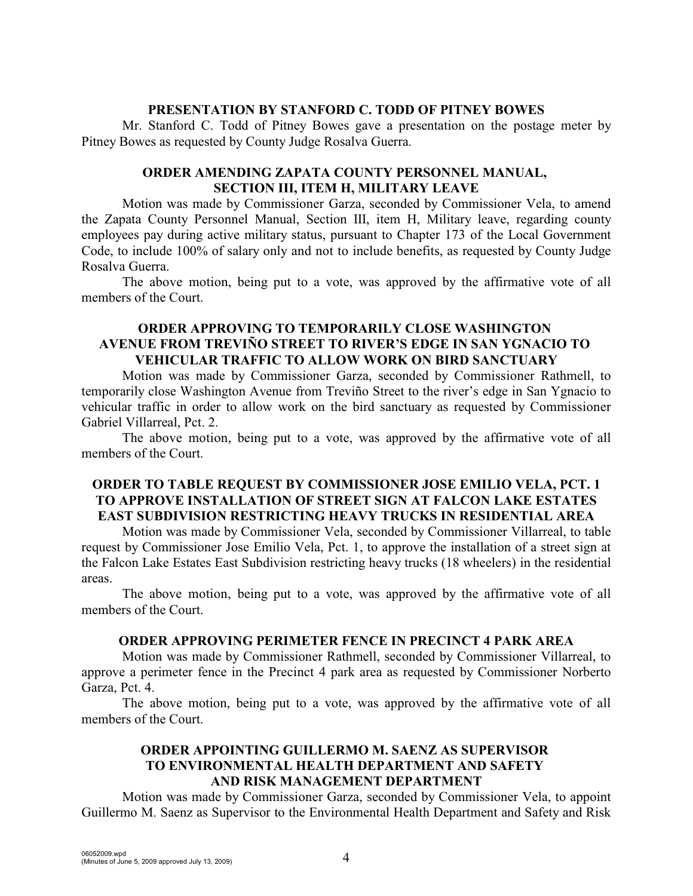### **PRESENTATION BY STANFORD C. TODD OF PITNEY BOWES**

Mr. Stanford C. Todd of Pitney Bowes gave a presentation on the postage meter by Pitney Bowes as requested by County Judge Rosalva Guerra.

### **ORDER AMENDING ZAPATA COUNTY PERSONNEL MANUAL, SECTION III, ITEM H, MILITARY LEAVE**

Motion was made by Commissioner Garza, seconded by Commissioner Vela, to amend the Zapata County Personnel Manual, Section III, item H, Military leave, regarding county employees pay during active military status, pursuant to Chapter 173 of the Local Government Code, to include 100% of salary only and not to include benefits, as requested by County Judge Rosalva Guerra.

The above motion, being put to a vote, was approved by the affirmative vote of all members of the Court.

### **ORDER APPROVING TO TEMPORARILY CLOSE WASHINGTON AVENUE FROM TREVIÑO STREET TO RIVER'S EDGE IN SAN YGNACIO TO VEHICULAR TRAFFIC TO ALLOW WORK ON BIRD SANCTUARY**

Motion was made by Commissioner Garza, seconded by Commissioner Rathmell, to temporarily close Washington Avenue from Treviño Street to the river's edge in San Ygnacio to vehicular traffic in order to allow work on the bird sanctuary as requested by Commissioner Gabriel Villarreal, Pct. 2.

The above motion, being put to a vote, was approved by the affirmative vote of all members of the Court.

## **ORDER TO TABLE REQUEST BY COMMISSIONER JOSE EMILIO VELA, PCT. 1 TO APPROVE INSTALLATION OF STREET SIGN AT FALCON LAKE ESTATES EAST SUBDIVISION RESTRICTING HEAVY TRUCKS IN RESIDENTIAL AREA**

Motion was made by Commissioner Vela, seconded by Commissioner Villarreal, to table request by Commissioner Jose Emilio Vela, Pct. 1, to approve the installation of a street sign at the Falcon Lake Estates East Subdivision restricting heavy trucks (18 wheelers) in the residential areas.

The above motion, being put to a vote, was approved by the affirmative vote of all members of the Court.

### **ORDER APPROVING PERIMETER FENCE IN PRECINCT 4 PARK AREA**

Motion was made by Commissioner Rathmell, seconded by Commissioner Villarreal, to approve a perimeter fence in the Precinct 4 park area as requested by Commissioner Norberto Garza, Pct. 4.

The above motion, being put to a vote, was approved by the affirmative vote of all members of the Court.

## **ORDER APPOINTING GUILLERMO M. SAENZ AS SUPERVISOR TO ENVIRONMENTAL HEALTH DEPARTMENT AND SAFETY AND RISK MANAGEMENT DEPARTMENT**

Motion was made by Commissioner Garza, seconded by Commissioner Vela, to appoint Guillermo M. Saenz as Supervisor to the Environmental Health Department and Safety and Risk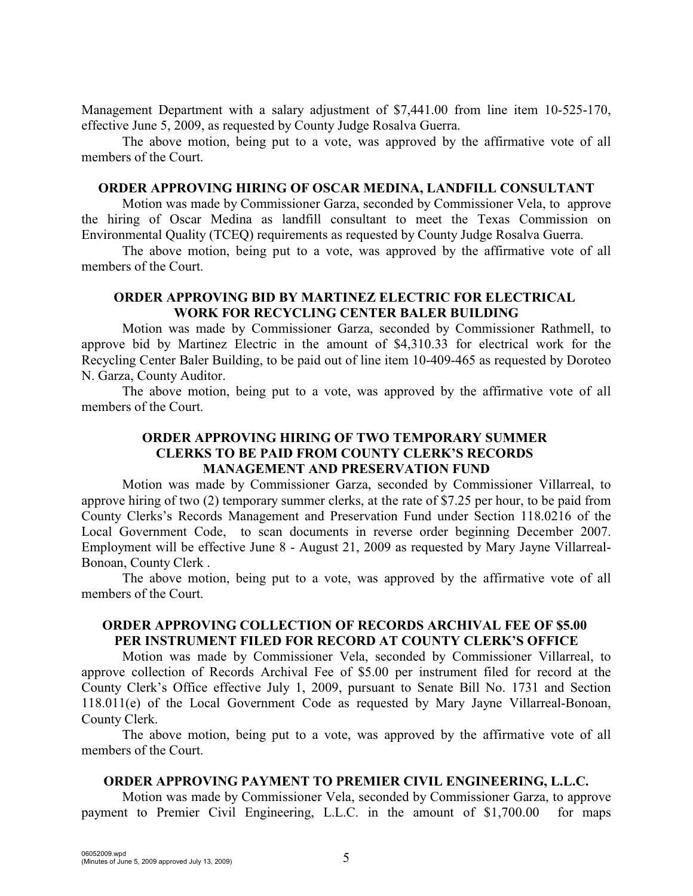Management Department with a salary adjustment of \$7,441.00 from line item 10-525-170, effective June 5, 2009, as requested by County Judge Rosalva Guerra.

The above motion, being put to a vote, was approved by the affirmative vote of all members of the Court.

#### **ORDER APPROVING HIRING OF OSCAR MEDINA, LANDFILL CONSULTANT**

Motion was made by Commissioner Garza, seconded by Commissioner Vela, to approve the hiring of Oscar Medina as landfill consultant to meet the Texas Commission on Environmental Quality (TCEQ) requirements as requested by County Judge Rosalva Guerra.

The above motion, being put to a vote, was approved by the affirmative vote of all members of the Court.

#### **ORDER APPROVING BID BY MARTINEZ ELECTRIC FOR ELECTRICAL WORK FOR RECYCLING CENTER BALER BUILDING**

Motion was made by Commissioner Garza, seconded by Commissioner Rathmell, to approve bid by Martinez Electric in the amount of \$4,310.33 for electrical work for the Recycling Center Baler Building, to be paid out of line item 10-409-465 as requested by Doroteo N. Garza, County Auditor.

The above motion, being put to a vote, was approved by the affirmative vote of all members of the Court.

# **ORDER APPROVING HIRING OF TWO TEMPORARY SUMMER CLERKS TO BE PAID FROM COUNTY CLERK'S RECORDS MANAGEMENT AND PRESERVATION FUND**

Motion was made by Commissioner Garza, seconded by Commissioner Villarreal, to approve hiring of two (2) temporary summer clerks, at the rate of \$7.25 per hour, to be paid from County Clerks's Records Management and Preservation Fund under Section 118.0216 of the Local Government Code, to scan documents in reverse order beginning December 2007. Employment will be effective June 8 - August 21, 2009 as requested by Mary Jayne Villarreal-Bonoan, County Clerk .

The above motion, being put to a vote, was approved by the affirmative vote of all members of the Court.

### **ORDER APPROVING COLLECTION OF RECORDS ARCHIVAL FEE OF \$5.00 PER INSTRUMENT FILED FOR RECORD AT COUNTY CLERK'S OFFICE**

Motion was made by Commissioner Vela, seconded by Commissioner Villarreal, to approve collection of Records Archival Fee of \$5.00 per instrument filed for record at the County Clerk's Office effective July 1, 2009, pursuant to Senate Bill No. 1731 and Section 118.011(e) of the Local Government Code as requested by Mary Jayne Villarreal-Bonoan, County Clerk.

The above motion, being put to a vote, was approved by the affirmative vote of all members of the Court.

### **ORDER APPROVING PAYMENT TO PREMIER CIVIL ENGINEERING, L.L.C.**

Motion was made by Commissioner Vela, seconded by Commissioner Garza, to approve payment to Premier Civil Engineering, L.L.C. in the amount of \$1,700.00 for maps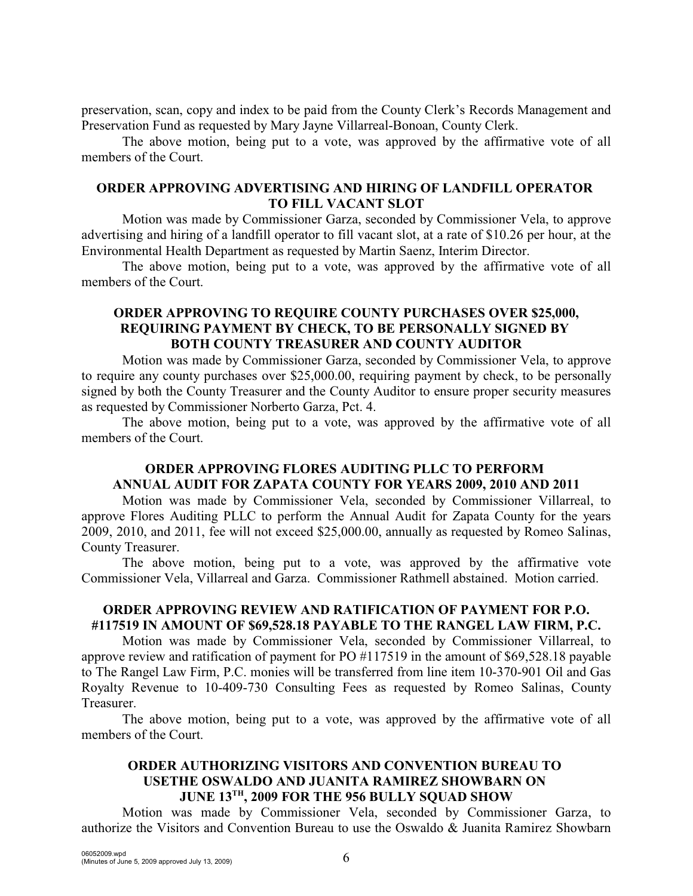preservation, scan, copy and index to be paid from the County Clerk's Records Management and Preservation Fund as requested by Mary Jayne Villarreal-Bonoan, County Clerk.

The above motion, being put to a vote, was approved by the affirmative vote of all members of the Court.

### **ORDER APPROVING ADVERTISING AND HIRING OF LANDFILL OPERATOR TO FILL VACANT SLOT**

Motion was made by Commissioner Garza, seconded by Commissioner Vela, to approve advertising and hiring of a landfill operator to fill vacant slot, at a rate of \$10.26 per hour, at the Environmental Health Department as requested by Martin Saenz, Interim Director.

The above motion, being put to a vote, was approved by the affirmative vote of all members of the Court.

# **ORDER APPROVING TO REQUIRE COUNTY PURCHASES OVER \$25,000, REQUIRING PAYMENT BY CHECK, TO BE PERSONALLY SIGNED BY BOTH COUNTY TREASURER AND COUNTY AUDITOR**

Motion was made by Commissioner Garza, seconded by Commissioner Vela, to approve to require any county purchases over \$25,000.00, requiring payment by check, to be personally signed by both the County Treasurer and the County Auditor to ensure proper security measures as requested by Commissioner Norberto Garza, Pct. 4.

The above motion, being put to a vote, was approved by the affirmative vote of all members of the Court.

# **ORDER APPROVING FLORES AUDITING PLLC TO PERFORM ANNUAL AUDIT FOR ZAPATA COUNTY FOR YEARS 2009, 2010 AND 2011**

Motion was made by Commissioner Vela, seconded by Commissioner Villarreal, to approve Flores Auditing PLLC to perform the Annual Audit for Zapata County for the years 2009, 2010, and 2011, fee will not exceed \$25,000.00, annually as requested by Romeo Salinas, County Treasurer.

The above motion, being put to a vote, was approved by the affirmative vote Commissioner Vela, Villarreal and Garza. Commissioner Rathmell abstained. Motion carried.

## **ORDER APPROVING REVIEW AND RATIFICATION OF PAYMENT FOR P.O. #117519 IN AMOUNT OF \$69,528.18 PAYABLE TO THE RANGEL LAW FIRM, P.C.**

Motion was made by Commissioner Vela, seconded by Commissioner Villarreal, to approve review and ratification of payment for PO #117519 in the amount of \$69,528.18 payable to The Rangel Law Firm, P.C. monies will be transferred from line item 10-370-901 Oil and Gas Royalty Revenue to 10-409-730 Consulting Fees as requested by Romeo Salinas, County Treasurer.

The above motion, being put to a vote, was approved by the affirmative vote of all members of the Court.

### **ORDER AUTHORIZING VISITORS AND CONVENTION BUREAU TO USETHE OSWALDO AND JUANITA RAMIREZ SHOWBARN ON JUNE 13TH, 2009 FOR THE 956 BULLY SQUAD SHOW**

Motion was made by Commissioner Vela, seconded by Commissioner Garza, to authorize the Visitors and Convention Bureau to use the Oswaldo & Juanita Ramirez Showbarn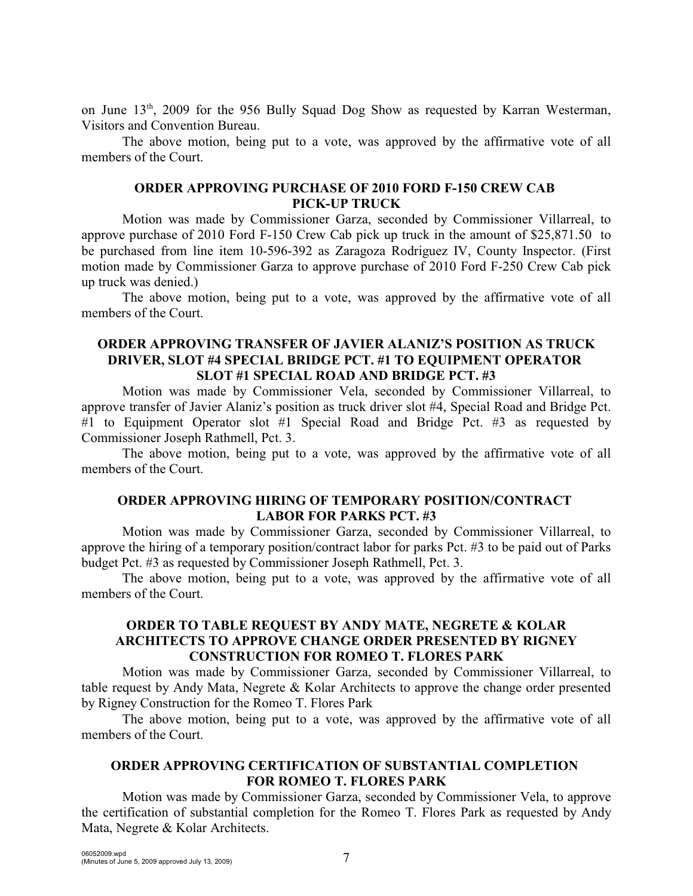on June  $13<sup>th</sup>$ , 2009 for the 956 Bully Squad Dog Show as requested by Karran Westerman, Visitors and Convention Bureau.

The above motion, being put to a vote, was approved by the affirmative vote of all members of the Court.

### **ORDER APPROVING PURCHASE OF 2010 FORD F-150 CREW CAB PICK-UP TRUCK**

Motion was made by Commissioner Garza, seconded by Commissioner Villarreal, to approve purchase of 2010 Ford F-150 Crew Cab pick up truck in the amount of \$25,871.50 to be purchased from line item 10-596-392 as Zaragoza Rodriguez IV, County Inspector. (First motion made by Commissioner Garza to approve purchase of 2010 Ford F-250 Crew Cab pick up truck was denied.)

The above motion, being put to a vote, was approved by the affirmative vote of all members of the Court.

### **ORDER APPROVING TRANSFER OF JAVIER ALANIZ'S POSITION AS TRUCK DRIVER, SLOT #4 SPECIAL BRIDGE PCT. #1 TO EQUIPMENT OPERATOR SLOT #1 SPECIAL ROAD AND BRIDGE PCT. #3**

Motion was made by Commissioner Vela, seconded by Commissioner Villarreal, to approve transfer of Javier Alaniz's position as truck driver slot #4, Special Road and Bridge Pct. #1 to Equipment Operator slot #1 Special Road and Bridge Pct. #3 as requested by Commissioner Joseph Rathmell, Pct. 3.

The above motion, being put to a vote, was approved by the affirmative vote of all members of the Court.

## **ORDER APPROVING HIRING OF TEMPORARY POSITION/CONTRACT LABOR FOR PARKS PCT. #3**

Motion was made by Commissioner Garza, seconded by Commissioner Villarreal, to approve the hiring of a temporary position/contract labor for parks Pct. #3 to be paid out of Parks budget Pct. #3 as requested by Commissioner Joseph Rathmell, Pct. 3.

The above motion, being put to a vote, was approved by the affirmative vote of all members of the Court.

### **ORDER TO TABLE REQUEST BY ANDY MATE, NEGRETE & KOLAR ARCHITECTS TO APPROVE CHANGE ORDER PRESENTED BY RIGNEY CONSTRUCTION FOR ROMEO T. FLORES PARK**

Motion was made by Commissioner Garza, seconded by Commissioner Villarreal, to table request by Andy Mata, Negrete & Kolar Architects to approve the change order presented by Rigney Construction for the Romeo T. Flores Park

The above motion, being put to a vote, was approved by the affirmative vote of all members of the Court.

### **ORDER APPROVING CERTIFICATION OF SUBSTANTIAL COMPLETION FOR ROMEO T. FLORES PARK**

Motion was made by Commissioner Garza, seconded by Commissioner Vela, to approve the certification of substantial completion for the Romeo T. Flores Park as requested by Andy Mata, Negrete & Kolar Architects.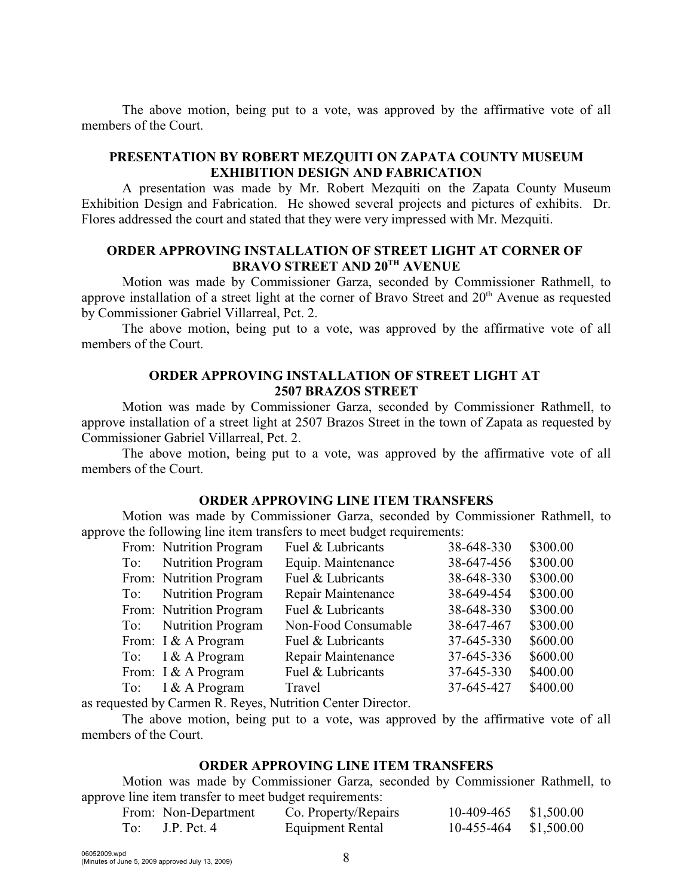The above motion, being put to a vote, was approved by the affirmative vote of all members of the Court.

# **PRESENTATION BY ROBERT MEZQUITI ON ZAPATA COUNTY MUSEUM EXHIBITION DESIGN AND FABRICATION**

A presentation was made by Mr. Robert Mezquiti on the Zapata County Museum Exhibition Design and Fabrication. He showed several projects and pictures of exhibits. Dr. Flores addressed the court and stated that they were very impressed with Mr. Mezquiti.

### **ORDER APPROVING INSTALLATION OF STREET LIGHT AT CORNER OF BRAVO STREET AND 20<sup>TH</sup> AVENUE**

Motion was made by Commissioner Garza, seconded by Commissioner Rathmell, to approve installation of a street light at the corner of Bravo Street and  $20<sup>th</sup>$  Avenue as requested by Commissioner Gabriel Villarreal, Pct. 2.

The above motion, being put to a vote, was approved by the affirmative vote of all members of the Court.

### **ORDER APPROVING INSTALLATION OF STREET LIGHT AT 2507 BRAZOS STREET**

Motion was made by Commissioner Garza, seconded by Commissioner Rathmell, to approve installation of a street light at 2507 Brazos Street in the town of Zapata as requested by Commissioner Gabriel Villarreal, Pct. 2.

The above motion, being put to a vote, was approved by the affirmative vote of all members of the Court.

### **ORDER APPROVING LINE ITEM TRANSFERS**

Motion was made by Commissioner Garza, seconded by Commissioner Rathmell, to approve the following line item transfers to meet budget requirements:

| From: Nutrition Program | Fuel & Lubricants   | 38-648-330 | \$300.00 |
|-------------------------|---------------------|------------|----------|
| To: Nutrition Program   | Equip. Maintenance  | 38-647-456 | \$300.00 |
| From: Nutrition Program | Fuel & Lubricants   | 38-648-330 | \$300.00 |
| To: Nutrition Program   | Repair Maintenance  | 38-649-454 | \$300.00 |
| From: Nutrition Program | Fuel & Lubricants   | 38-648-330 | \$300.00 |
| To: Nutrition Program   | Non-Food Consumable | 38-647-467 | \$300.00 |
| From: I & A Program     | Fuel & Lubricants   | 37-645-330 | \$600.00 |
| To: $I & A$ Program     | Repair Maintenance  | 37-645-336 | \$600.00 |
| From: I & A Program     | Fuel & Lubricants   | 37-645-330 | \$400.00 |
| To: $I & A$ Program     | Travel              | 37-645-427 | \$400.00 |
|                         |                     |            |          |

as requested by Carmen R. Reyes, Nutrition Center Director.

The above motion, being put to a vote, was approved by the affirmative vote of all members of the Court.

### **ORDER APPROVING LINE ITEM TRANSFERS**

Motion was made by Commissioner Garza, seconded by Commissioner Rathmell, to approve line item transfer to meet budget requirements:

| From: Non-Department | Co. Property/Repairs | 10-409-465 \$1,500.00 |  |
|----------------------|----------------------|-----------------------|--|
| To: $J.P.$ Pct. 4    | Equipment Rental     | 10-455-464 \$1,500.00 |  |